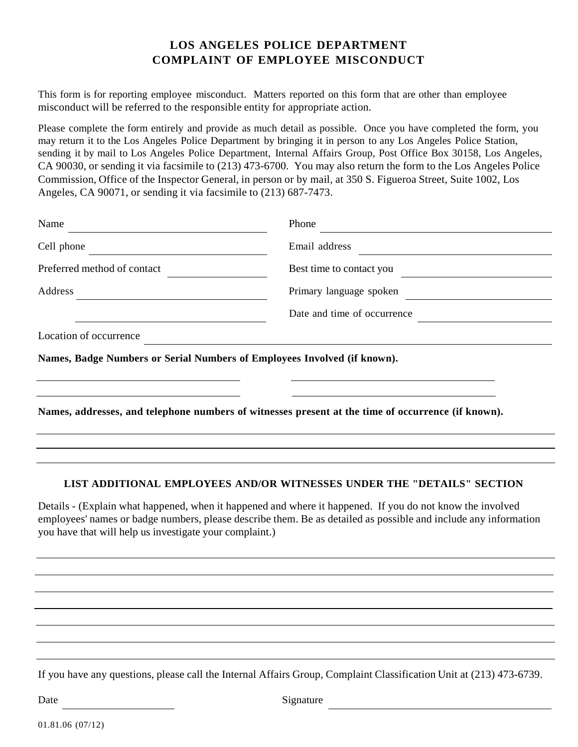## **LOS ANGELES POLICE DEPARTMENT COMPLAINT OF EMPLOYEE MISCONDUCT**

This form is for reporting employee misconduct. Matters reported on this form that are other than employee misconduct will be referred to the responsible entity for appropriate action.

Please complete the form entirely and provide as much detail as possible. Once you have completed the form, you may return it to the Los Angeles Police Department by bringing it in person to any Los Angeles Police Station, sending it by mail to Los Angeles Police Department, Internal Affairs Group, Post Office Box 30158, Los Angeles, CA 90030, or sending it via facsimile to (213) 473-6700. You may also return the form to the Los Angeles Police Commission, Office of the Inspector General, in person or by mail, at 350 S. Figueroa Street, Suite 1002, Los Angeles, CA 90071, or sending it via facsimile to (213) 687-7473.

| Name                                                                     | Phone                                                                                              |  |  |
|--------------------------------------------------------------------------|----------------------------------------------------------------------------------------------------|--|--|
| Cell phone                                                               | Email address                                                                                      |  |  |
| Preferred method of contact                                              | Best time to contact you                                                                           |  |  |
| Address                                                                  | Primary language spoken                                                                            |  |  |
|                                                                          | Date and time of occurrence                                                                        |  |  |
| Location of occurrence                                                   |                                                                                                    |  |  |
| Names, Badge Numbers or Serial Numbers of Employees Involved (if known). |                                                                                                    |  |  |
|                                                                          |                                                                                                    |  |  |
|                                                                          | Names, addresses, and telephone numbers of witnesses present at the time of occurrence (if known). |  |  |
|                                                                          |                                                                                                    |  |  |

## **LIST ADDITIONAL EMPLOYEES AND/OR WITNESSES UNDER THE "DETAILS" SECTION**

Details - (Explain what happened, when it happened and where it happened. If you do not know the involved employees' names or badge numbers, please describe them. Be as detailed as possible and include any information you have that will help us investigate your complaint.)

If you have any questions, please call the Internal Affairs Group, Complaint Classification Unit at (213) 473-6739.

01.81.06 (07/12)